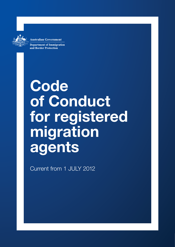**Australian Government Department of Immigration** 

and Border Protection

# **Code** of Conduct for registered migration agents

Current from 1 JULY 2012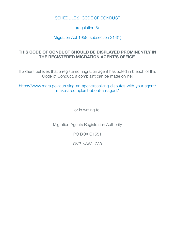#### SCHEDULE 2: CODE OF CONDUCT

#### (regulation 8)

#### Migration Act 1958, subsection 314(1)

#### THIS CODE OF CONDUCT SHOULD BE DISPLAYED PROMINENTLY IN THE REGISTERED MIGRATION AGENT'S OFFICE.

If a client believes that a registered migration agent has acted in breach of this Code of Conduct, a complaint can be made online:

[https://www.mara.gov.au/using-an-agent/resolving-disputes-with-your-agent/](https://www.mara.gov.au/using-an-agent/resolving-disputes-with-your-agent/make-a-complaint-about-an-agent/) [make-a-complaint-about-an-agent/](https://www.mara.gov.au/using-an-agent/resolving-disputes-with-your-agent/make-a-complaint-about-an-agent/)

or in writing to:

Migration Agents Registration Authority

PO BOX Q1551

QVB NSW 1230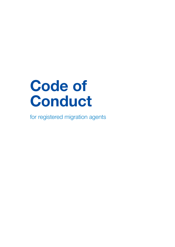# Code of Conduct

for registered migration agents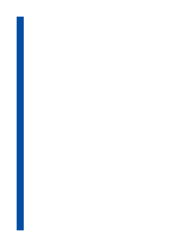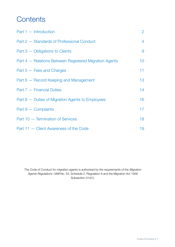#### **Contents**

| Part $1 -$ Introduction                                | $\overline{2}$  |
|--------------------------------------------------------|-----------------|
| Part 2 – Standards of Professional Conduct             | $\overline{4}$  |
| Part 3 - Obligations to Clients                        | 9               |
| Part 4 – Relations Between Registered Migration Agents | 10 <sup>°</sup> |
| Part 5 - Fees and Charges                              | 11              |
| Part 6 – Record Keeping and Management                 | 13 <sup>°</sup> |
| Part 7 - Financial Duties                              | 14              |
| Part 8 - Duties of Migration Agents to Employees       | 16              |
| $Part 9 - Complaints$                                  | 17 <sub>1</sub> |
| Part 10 - Termination of Services                      | 18              |
| Part 11 - Client Awareness of the Code                 | 19              |

The Code of Conduct for migration agents is authorised by the requirements of the Migration Agents Regulations 1998 No. 53, Schedule 2, Regulation 8 and the Migration Act 1958 Subsection 314(1).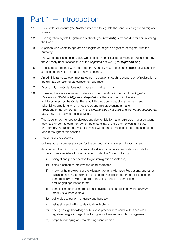#### <span id="page-5-0"></span>Part 1 — Introduction

- 1.1 This Code of Conduct (the **Code**) is intended to regulate the conduct of registered migration agents.
- 1.2 The Migration Agents Registration Authority (the **Authority**) is responsible for administering the Code.
- 1.3 A person who wants to operate as a registered migration agent must register with the Authority.
- 1.4 The Code applies to an individual who is listed in the Register of Migration Agents kept by the Authority under section 287 of the Migration Act 1958 (the Migration Act).
- 1.5 To ensure compliance with the Code, the Authority may impose an administrative sanction if a breach of the Code is found to have occurred.
- 1.6 An administrative sanction may range from a caution through to suspension of registration or the ultimate sanction of cancellation of registration.
- 1.7 Accordingly, the Code does not impose criminal sanctions.
- 1.8 However, there are a number of offences under the Migration Act and the *Migration* Regulations 1994 (the **Migration Regulations**) that also deal with the kind of activity covered by the Code. These activities include misleading statements and advertising, practising when unregistered and misrepresenting a matter. Provisions of the Crimes Act 1914, the Criminal Code Act 1995 and the Trade Practices Act 1974 may also apply to these activities.
- 1.9 The Code is not intended to displace any duty or liability that a registered migration agent may have under the common law, or the statute law of the Commonwealth, a State or a Territory, in relation to a matter covered Code. The provisions of the Code should be read in the light of this principle.
- 1.10 The aims of the Code are:
	- (a) to establish a proper standard for the conduct of a registered migration agent;
	- (b) to set out the minimum attributes and abilities that a person must demonstrate to perform as a registered migration agent under the Code, including:
		- (i) being fit and proper person to give immigration assistance;
		- (ia) being a person of integrity and good character;
		- (ii) knowing the provisions of the Migration Act and Migration Regulations, and other legislation relating to migration procedure, in sufficient depth to offer sound and comprehensive advice to a client, including advice on completing and lodging application forms;
		- (iii) completing continuing professional development as required by the Migration Agents Regulations 1998;
		- (iv) being able to perform diligently and honestly;
		- (v) being able and willing to deal fairly with clients;
		- (vi) having enough knowledge of business procedure to conduct business as a registered migration agent, including record keeping and file management;
		- (vii) properly managing and maintaining client records;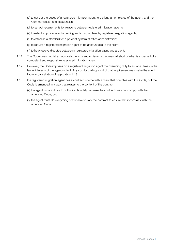- (c) to set out the duties of a registered migration agent to a client, an employee of the agent, and the Commonwealth and its agencies;
- (d) to set out requirements for relations between registered migration agents;
- (e) to establish procedures for setting and charging fees by registered migration agents;
- (f) to establish a standard for a prudent system of office administration;
- (g) to require a registered migration agent to be accountable to the client;
- (h) to help resolve disputes between a registered migration agent and a client.
- 1.11 The Code does not list exhaustively the acts and omissions that may fall short of what is expected of a competent and responsible registered migration agent.
- 1.12 However, the Code imposes on a registered migration agent the overriding duty to act at all times in the lawful interests of the agent's client. Any conduct falling short of that requirement may make the agent liable to cancellation of registration 1.13
- 1.13 If a registered migration agent has a contract in force with a client that complies with this Code, but the Code is amended in a way that relates to the content of the contract:
	- (a) the agent is not in breach of this Code solely because the contract does not comply with the amended Code; but
	- (b) the agent must do everything practicable to vary the contract to ensure that it complies with the amended Code.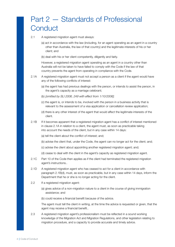## <span id="page-7-0"></span>Part 2 — Standards of Professional **Conduct**

2.1 A registered migration agent must always:

- (a) act in accordance with the law (including, for an agent operating as an agent in a country other than Australia, the law of that country) and the legitimate interests of his or her client; and
- (b) deal with his or her client competently, diligently and fairly.

However, a registered migration agent operating as an agent in a country other than Australia will not be taken to have failed to comply with the Code if the law of that country prevents the agent from operating in compliance with the Code.

- 2.1A A registered migration agent must not accept a person as a client if the agent would have any of the following conflicts of interest:
	- (a) the agent has had previous dealings with the person, or intends to assist the person, in the agent's capacity as a marriage celebrant;
	- (b) [omitted by SLI 2006, 249 with effect from 1/10/2006];
	- (c) the agent is, or intends to be, involved with the person in a business activity that is relevant to the assessment of a visa application or cancellation review application;
	- (d) there is any other interest of the agent that would affect the legitimate interests of the client.
- 2.1B If it becomes apparent that a registered migration agent has a conflict of interest mentioned in clause 2.1A in relation to a client, the agent must, as soon as practicable taking into account the needs of the client, but in any case within 14 days:
	- (a) tell the client about the conflict of interest; and;
	- (b) advise the client that, under the Code, the agent can no longer act for the client; and;
	- (c) advise the client about appointing another registered migration agent; and;
	- (d) cease to deal with the client in the agent's capacity as registered migration agent.
- 2.1C Part 10 of the Code then applies as if the client had terminated the registered migration agent's instructions..
- 2.1D A registered migration agent who has ceased to act for a client in accordance with paragraph 2.1B(d), must, as soon as practicable, but in any case within 14 days, inform the Department that he or she is no longer acting for the client.
- 2.2 If a registered migration agent:
	- (a) gives advice of a non-migration nature to a client in the course of giving immigration assistance; and
	- (b) could receive a financial benefit because of the advice.

The agent must tell the client in writing, at the time the advice is requested or given, that the agent may receive a financial benefit..

2.3 A registered migration agent's professionalism must be reflected in a sound working knowledge of the Migration Act and Migration Regulations, and other legislation relating to migration procedure, and a capacity to provide accurate and timely advice.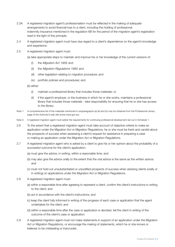- 2.3A A registered migration agent's professionalism must be reflected in the making of adequate arrangements to avoid financial loss to a client, including the holding of professional indemnity insurance mentioned in the regulation 6B for the period of the migration agent's registration read in the light of this principle.
- 2.4 A registered migration agent must have due regard to a client's dependence on the agent's knowledge and experience.
- 2.5 A registered migration agent must:

(a) take appropriate steps to maintain and improve his or her knowledge of the current versions of:

- (i) the Migration Act 1958; and
- (ii) the Migration Regulations 1994; and
- (iii) other legislation relating to migration procedure; and
- (iv) portfolio policies and procedures; and

(b) either:

- (i) maintain a professional library that includes those materials; or
- (ii) if the agent's employer, or the business in which he or she works, maintains a professional library that includes those materials - take responsibility for ensuring that he or she has access to the library.
- Note 1: A comprehensive list of the materials mentioned in subparagraphs (a) (iii) and (iv) may be obtained from the Professional Library page of the Authority's web site (www.mara.gov.au).
- Note 2: A registered migration agent must satisfy the requirements for continuing professional development set out in Schedule 1.
- 2.6 To the extent that a registered migration agent must take account of objective criteria to make an application under the Migration Act or Migration Regulations, he or she must be frank and candid about the prospects of success when assessing a client's request for assistance in preparing a case or making an application under the Migration Act or Migration Regulations.
- 2.7 A registered migration agent who is asked by a client to give his or her opinion about the probability of a successful outcome for the client's application:
	- (a) must give the advice, in writing, within a reasonable time; and
	- (b) may also give the advice orally to the extent that the oral advice is the same as the written advice; and
	- (c) must not hold out unsubstantiated or unjustified prospects of success when advising clients (orally or in writing) on applications under the Migration Act or Migration Regulations.
- 2.8 A registered migration agent must:
	- (a) within a reasonable time after agreeing to represent a client, confirm the client's instructions in writing to the client; and
	- (b) act in accordance with the client's instructions; and
	- (c) keep the client fully informed in writing of the progress of each case or application that the agent undertakes for the client; and
	- (d) within a reasonable time after the case or application is decided, tell the client in writing of the outcome of the client's case or application.
- 2.9 A registered migration agent must not make statements in support of an application under the Migration Act or Migration Regulations, or encourage the making of statements, which he or she knows or believes to be misleading or inaccurate.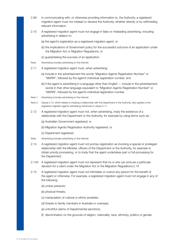| 2.9A    | In communicating with, or otherwise providing information to, the Authority, a registered<br>migration agent must not mislead or deceive the Authority, whether directly or by withholding<br>relevant information.                                                                                                |
|---------|--------------------------------------------------------------------------------------------------------------------------------------------------------------------------------------------------------------------------------------------------------------------------------------------------------------------|
| 2.10    | A registered migration agent must not engage in false or misleading advertising, including<br>advertising in relation to:                                                                                                                                                                                          |
|         | (a) the agent's registration as a registered migration agent; or                                                                                                                                                                                                                                                   |
|         | (b) the implications of Government policy for the successful outcome of an application under<br>the Migration Act or Migration Regulations; or                                                                                                                                                                     |
|         | (c) guaranteeing the success of an application.                                                                                                                                                                                                                                                                    |
| Note:   | Advertising includes advertising on the Internet.                                                                                                                                                                                                                                                                  |
| 2.11    | A registered migration agent must, when advertising:                                                                                                                                                                                                                                                               |
|         | (a) include in the advertisement the words "Migration Agents Registration Number" or<br>"MARN", followed by the agent's individual registration number; and                                                                                                                                                        |
|         | (b) if the agent is advertising in a language other than English — include in the advertisement<br>words in that other language equivalent to "Migration Agents Registration Number" or<br>"MARN", followed by the agent's individual registration number.                                                         |
| Note 1: | Advertising includes advertising on the Internet.                                                                                                                                                                                                                                                                  |
| Note 2: | Clause 2.12, which relates to implying a relationship with the Department or the Authority, also applies to the<br>registered migration agent's advertising mentioned in clause 2.11.                                                                                                                              |
| 2.12    | A registered migration agent must not, when advertising, imply the existence of a<br>relationship with the Department or the Authority, for example by using terms such as:                                                                                                                                        |
|         | (a) Australian Government registered; or                                                                                                                                                                                                                                                                           |
|         | (b) Migration Agents Registration Authority registered; or                                                                                                                                                                                                                                                         |
|         | (c) Department registered.                                                                                                                                                                                                                                                                                         |
| Note:   | Advertising includes advertising on the Internet.                                                                                                                                                                                                                                                                  |
| 2.14    | A registered migration agent must not portray registration as involving a special or privileged<br>relationship with the Minister, officers of the Department or the Authority, for example to<br>obtain priority processing, or to imply that the agent undertakes part or full processing for<br>the Department. |
| 2.14A   | A registered migration agent must not represent that he or she can procure a particular<br>decision for a client under the Migration Act or the Migration Regulations.2.15                                                                                                                                         |
| 2.15    | A registered migration agent must not intimidate or coerce any person for the benefit of<br>the agent or otherwise. For example, a registered migration agent must not engage in any of<br>the following:                                                                                                          |
|         | (a) undue pressure;                                                                                                                                                                                                                                                                                                |
|         | (b) physical threats;                                                                                                                                                                                                                                                                                              |
|         | (c) manipulation of cultural or ethnic anxieties;                                                                                                                                                                                                                                                                  |
|         | (d) threats to family members in Australia or overseas;                                                                                                                                                                                                                                                            |
|         | (e) untruthful claims of Departmental sanctions;                                                                                                                                                                                                                                                                   |
|         | (f) discrimination on the grounds of religion, nationality, race, ethnicity, politics or gender.                                                                                                                                                                                                                   |
|         |                                                                                                                                                                                                                                                                                                                    |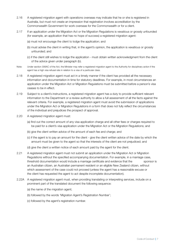- 2.16 A registered migration agent with operations overseas may indicate that he or she is registered in Australia, but must not create an impression that registration involves accreditation by the Commonwealth Government for work overseas for the Commonwealth or for a client.
- 2.17 If an application under the Migration Act or the Migration Regulations is vexatious or grossly unfounded (for example, an application that has no hope of success) a registered migration agent:
	- (a) must not encourage the client to lodge the application; and
	- (b) must advise the client in writing that, in the agent's opinion, the application is vexatious or grossly unfounded; and
	- (c) if the client still wishes to lodge the application must obtain written acknowledgment from the client of the advice given under paragraph (b).
- Note: Under section 306AC of the Act, the Minister may refer a registered migration agent to the Authority for disciplinary action if the agent has a high visa refusal rate in relation to a visa of a particular class.
- 2.18 A registered migration agent must act in a timely manner if the client has provided all the necessary information and documentation in time for statutory deadlines. For example, in most circumstances an application under the Migration Act or Migration Regulations must be submitted before a person's visa ceases to be in effect.
- 2.19 Subject to a client's instructions, a registered migration agent has a duty to provide sufficient relevant information to the Department or a review authority to allow a full assessment of all the facts against the relevant criteria. For example, a registered migration agent must avoid the submission of applications under the Migration Act or Migration Regulations in a form that does not fully reflect the circumstances of the individual and prejudices the prospect of approval.
- 2.20 A registered migration agent must:
	- (a) find out the correct amount of any visa application charge and all other fees or charges required to be paid for a client's visa application under the Migration Act or the Migration Regulations; and
	- (b) give the client written advice of the amount of each fee and charge; and
	- (c) if the agent is to pay an amount for the client give the client written advice of the date by which the amount must be given to the agent so that the interests of the client are not prejudiced; and
	- (d) give the client a written notice of each amount paid by the agent for the client.
- 2.21 A registered migration agent must not submit an application under the Migration Act or Migration Regulations without the specified accompanying documentation. For example, in a marriage case, threshold documentation would include a marriage certificate and evidence that the sponsor is an Australian citizen, an Australian permanent resident or an eligible New Zealand citizen, without which assessment of the case could not proceed (unless the agent has a reasonable excuse or the client has requested the agent to act despite incomplete documentation).
- 2.22A A registered migration agent must, when providing translating or interpreting services, include on a prominent part of the translated document the following sequence:
	- (a) the name of the migration agent;
	- (b) followed by the words 'Migration Agent's Registration Number';
	- (c) followed by the agent's registration number.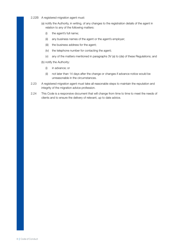- 2.22B A registered migration agent must:
	- (a) notify the Authority, in writing, of any changes to the registration details of the agent in relation to any of the following matters:
		- (i) the agent's full name;
		- (ii) any business names of the agent or the agent's employer;
		- (iii) the business address for the agent;
		- (iv) the telephone number for contacting the agent;
		- (v) any of the matters mentioned in paragraphs 3V (a) to (da) of these Regulations; and
	- (b) notify the Authority:
		- (i) in advance; or
		- (ii) not later than 14 days after the change or changes if advance notice would be unreasonable in the circumstances.
- 2.23 A registered migration agent must take all reasonable steps to maintain the reputation and integrity of the migration advice profession.
- 2.24 This Code is a responsive document that will change from time to time to meet the needs of clients and to ensure the delivery of relevant, up to date advice.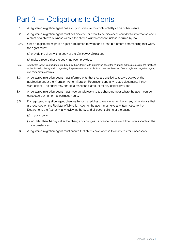## <span id="page-12-0"></span>Part 3 – Obligations to Clients

- 3.1 A registered migration agent has a duty to preserve the confidentiality of his or her clients.
- 3.2 A registered migration agent must not disclose, or allow to be disclosed, confidential information about a client or a client's business without the client's written consent, unless required by law.
- 3.2A Once a registered migration agent had agreed to work for a client, but before commencing that work, the agent must:

(a) provide the client with a copy of the *Consumer Guide*; and

(b) make a record that the copy has been provided.

- Note: Consumer Guide is a document produced by the Authority with information about the migration advice profession, the functions of the Authority, the legislation regulating the profession, what a client can reasonably expect from a registered migration agent, and complaint procedures.
- 3.3 A registered migration agent must inform clients that they are entitled to receive copies of the application under the Migration Act or Migration Regulations and any related documents if they want copies. The agent may charge a reasonable amount for any copies provided.
- 3.4 A registered migration agent must have an address and telephone number where the agent can be contacted during normal business hours.
- 3.5 If a registered migration agent changes his or her address, telephone number or any other details that are recorded on the Register of Migration Agents, the agent must give a written notice to the Department, the Authority, any review authority and all current clients of the agent:

(a) in advance; or

- (b) not later than 14 days after the change or changes if advance notice would be unreasonable in the circumstances.
- 3.6 A registered migration agent must ensure that clients have access to an interpreter if necessary.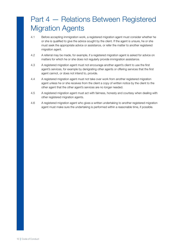# <span id="page-13-0"></span>Part 4 — Relations Between Registered Migration Agents

- 4.1 Before accepting immigration work, a registered migration agent must consider whether he or she is qualified to give the advice sought by the client. If the agent is unsure, he or she must seek the appropriate advice or assistance, or refer the matter to another registered migration agent.
- 4.2 A referral may be made, for example, if a registered migration agent is asked for advice on matters for which he or she does not regularly provide immigration assistance.
- 4.3 A registered migration agent must not encourage another agent's client to use the first agent's services, for example by denigrating other agents or offering services that the first agent cannot, or does not intend to, provide.
- 4.4 A registered migration agent must not take over work from another registered migration agent unless he or she receives from the client a copy of written notice by the client to the other agent that the other agent's services are no longer needed.
- 4.5 A registered migration agent must act with fairness, honesty and courtesy when dealing with other registered migration agents.
- 4.6 A registered migration agent who gives a written undertaking to another registered migration agent must make sure the undertaking is performed within a reasonable time, if possible.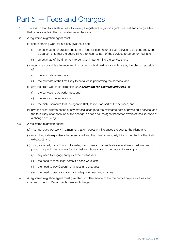## <span id="page-14-0"></span>Part 5 — Fees and Charges

- 5.1 There is no statutory scale of fees. However, a registered migration agent must set and charge a fee that is reasonable in the circumstances of the case.
- 5.2 A registered migration agent must:

(a) before starting work for a client, give the client:

- (i) an estimate of charges in the form of fees for each hour or each service to be performed, and disbursements that the agent is likely to incur as part of the services to be performed; and
- (ii) an estimate of the time likely to be taken in performing the services; and
- (b) as soon as possible after receiving instructions, obtain written acceptance by the client, if possible, of:
	- (i) the estimate of fees; and
	- (ii) the estimate of the time likely to be taken in performing the services; and
- (c) give the client written confirmation (an **Agreement for Services and Fees**) of:
	- (i) the services to be performed; and
	- (ii) the fees for the services; and
	- (iii) the disbursements that the agent is likely to incur as part of the services; and
- (d) give the client written notice of any material change to the estimated cost of providing a service, and the total likely cost because of the change, as soon as the agent becomes aware of the likelihood of a change occurring.
- 5.3 A registered migration agent:
	- (a) must not carry out work in a manner that unnecessarily increases the cost to the client; and
	- (b) must, if outside expertise is to be engaged and the client agrees, fully inform the client of the likely extra cost; and
	- (c) must, especially if a solicitor or barrister, warn clients of possible delays and likely cost involved in pursuing a particular course of action before tribunals and in the courts, for example:
		- (i) any need to engage and pay expert witnesses;
		- (ii) the need to meet legal costs if a case were lost;
		- (iii) the need to pay Departmental fees and charges;
		- (iv) the need to pay translation and interpreter fees and charges.
- 5.4 A registered migration agent must give clients written advice of the method of payment of fees and charges, including Departmental fees and charges.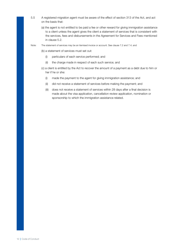- 5.5 A registered migration agent must be aware of the effect of section 313 of the Act, and act on the basis that:
	- (a) the agent is not entitled to be paid a fee or other reward for giving immigration assistance to a client unless the agent gives the client a statement of services that is consistent with the services, fees and disbursements in the Agreement for Services and Fees mentioned in clause 5.2.
- Note: The statement of services may be an itemised invoice or account. See clause 7.2 and 7.4; and
	- (b) a statement of services must set out:
		- (i) particulars of each service performed; and
		- (ii) the charge made in respect of each such service; and
	- (c) a client is entitled by the Act to recover the amount of a payment as a debt due to him or her if he or she:
		- (i) made the payment to the agent for giving immigration assistance; and
		- (ii) did not receive a statement of services before making the payment; and
		- (iii) does not receive a statement of services within 28 days after a final decision is made about the visa application, cancellation review application, nomination or sponsorship to which the immigration assistance related.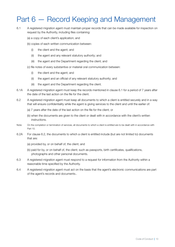## <span id="page-16-0"></span>Part 6 — Record Keeping and Management

- 6.1 A registered migration agent must maintain proper records that can be made available for inspection on request by the Authority, including files containing:
	- (a) a copy of each client's application; and
	- (b) copies of each written communication between:
		- (i) the client and the agent; and
		- (ii) the agent and any relevant statutory authority; and
		- (iii) the agent and the Department regarding the client; and
	- (c) file notes of every substantive or material oral communication between:
		- (i) the client and the agent; and
		- (ii) the agent and an official of any relevant statutory authority; and
		- (iii) the agent and the Department regarding the client.
- 6.1A A registered migration agent must keep the records mentioned in clause 6.1 for a period of 7 years after the date of the last action on the file for the client.
- 6.2 A registered migration agent must keep all documents to which a client is entitled securely and in a way that will ensure confidentiality while the agent is giving services to the client and until the earlier of:
	- (a) 7 years after the date of the last action on the file for the client; or
	- (b) when the documents are given to the client or dealt with in accordance with the client's written instructions.
- Note: On the completion or termination of services, all documents to which a client is entitled are to be dealt with in accordance with Part 10.
- 6.2A For clause 6.2, the documents to which a client is entitled include (but are not limited to) documents that are:
	- (a) provided by, or on behalf of, the client; and
	- (b) paid for by, or on behalf of, the client; such as passports, birth certificates, qualifications, photographs and other personal documents.
- 6.3 A registered migration agent must respond to a request for information from the Authority within a reasonable time specified by the Authority.
- 6.4 A registered migration agent must act on the basis that the agent's electronic communications are part of the agent's records and documents..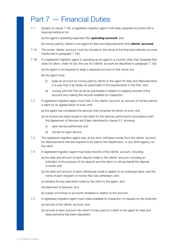#### <span id="page-17-0"></span>Part 7 — Financial Duties

7.1 Subject to clause 7.1B, a registered migration agent must keep separate accounts with a financial institution for:

(a) the agent's operating expenses (the **operating account**); and

- (b) money paid by clients to the agent for fees and disbursements (the **clients' account.**
- 7.1A The words 'clients' account' must be included in the name of the financial institution account mentioned in paragraph 7.1(b).
- 7.1B If a registered migration agent is operating as an agent in a country other than Australia that does not allow, under its law, the use of a clients' account as described in paragraph 7.1(b):

(a) the agent is not required to keep a separate account of that name; but

- (b) the agent must:
	- (i) keep an account for money paid by clients to the agent for fees and disbursements in a way that is as similar as practicable to the requirements in this Part; and
	- (ii) comply with this Part as far as practicable in relation to keeping records of the account and making the records available for inspection.
- 7.2 A registered migration agent must hold, in the clients' account, an amount of money paid by a client for an agreed block of work until:
	- (a) the agent has completed the services that comprise the block of work; and
	- (b) an invoice has been issued to the client for the services performed in accordance with the Agreement of Services and Fees mentioned in clause 5.2, showing:
		- (i) each service performed; and
		- (ii) the fee for each service.
- 7.3 The registered migration agent may, at any time, withdraw money from the clients' account for disbursements that are required to be paid to the Department, or any other agency, for the client.
- 7.4 A registered migration agent must keep records of the clients' account, including:
	- (a) the date and amount of each deposit made to the clients' account, including an indication of the purpose of the deposit and the client on whose behalf the deposit is made; and
	- (b) the date and amount of each withdrawal made in relation to an individual client, and the name of each recipient of money that was withdrawn; and
	- (c) receipts for any payments made by the client to the agent; and
	- (d) statement of services; and
	- (e) copies of invoices or accounts rendered in relation to the account.
- 7.5 A registered migration agent must make available for inspection on request by the Authority:
	- (a) records of the clients' account; and
	- (b) records of each account into which money paid by a client to the agent for fees and disbursements has been deposited.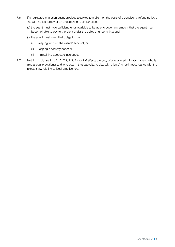- 7.6 If a registered migration agent provides a service to a client on the basis of a conditional refund policy, a 'no win, no fee' policy or an undertaking to similar effect:
	- (a) the agent must have sufficient funds available to be able to cover any amount that the agent may become liable to pay to the client under the policy or undertaking; and
	- (b) the agent must meet that obligation by:
		- (i) keeping funds in the clients' account; or
		- (ii) keeping a security bond; or
		- (iii) maintaining adequate insurance.
- 7.7 Nothing in clause 7.1, 7.1A, 7.2, 7.3, 7.4 or 7.6 affects the duty of a registered migration agent, who is also a legal practitioner and who acts in that capacity, to deal with clients' funds in accordance with the relevant law relating to legal practitioners.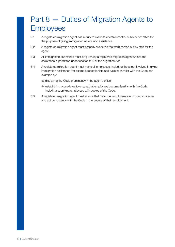# <span id="page-19-0"></span>Part 8 — Duties of Migration Agents to **Employees**

- 8.1 A registered migration agent has a duty to exercise effective control of his or her office for the purpose of giving immigration advice and assistance.
- 8.2 A registered migration agent must properly supervise the work carried out by staff for the agent.
- 8.3 All immigration assistance must be given by a registered migration agent unless the assistance is permitted under section 280 of the Migration Act.
- 8.4 A registered migration agent must make all employees, including those not involved in giving immigration assistance (for example receptionists and typists), familiar with the Code, for example by:
	- (a) displaying the Code prominently in the agent's office;
	- (b) establishing procedures to ensure that employees become familiar with the Code including supplying employees with copies of the Code.
- 8.5 A registered migration agent must ensure that his or her employees are of good character and act consistently with the Code in the course of their employment.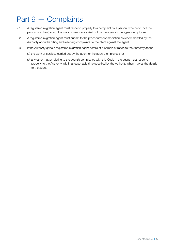# <span id="page-20-0"></span>Part 9 — Complaints

- 9.1 A registered migration agent must respond properly to a complaint by a person (whether or not the person is a client) about the work or services carried out by the agent or the agent's employee.
- 9.2 A registered migration agent must submit to the procedures for mediation as recommended by the Authority about handling and resolving complaints by the client against the agent.
- 9.3 If the Authority gives a registered migration agent details of a complaint made to the Authority about:
	- (a) the work or services carried out by the agent or the agent's employees; or
	- (b) any other matter relating to the agent's compliance with this Code —the agent must respond properly to the Authority, within a reasonable time specified by the Authority when it gives the details to the agent.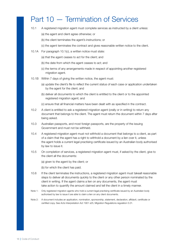#### <span id="page-21-0"></span>Part 10 — Termination of Services

10.1 A registered migration agent must complete services as instructed by a client unless:

(a) the agent and client agree otherwise; or

- (b) the client terminates the agent's instructions; or
- (c) the agent terminates the contract and gives reasonable written notice to the client.
- 10.1A For paragraph 10.1(c), a written notice must state:
	- (a) that the agent ceases to act for the client; and
	- (b) the date from which the agent ceases to act; and
	- (c) the terms of any arrangements made in respect of appointing another registered migration agent.
- 10.1B Within 7 days of giving the written notice, the agent must:
	- (a) update the client's file to reflect the current status of each case or application undertaken by the agent for the client; and
	- (b) deliver all documents to which the client is entitled to the client or to the appointed registered migration agent; and
	- (c) ensure that all financial matters have been dealt with as specified in the contract.
- 10.2 A client is entitled to ask a registered migration agent (orally or in writing) to return any document that belongs to the client. The agent must return the document within 7 days after being asked.
- 10.3 Australian passports, and most foreign passports, are the property of the issuing Government and must not be withheld.
- 10.4 A registered migration agent must not withhold a document that belongs to a client, as part of a claim that the agent has a right to withhold a document by a lien over it, unless the agent holds a current legal practising certificate issued by an Australian body authorised by law to issue it.
- 10.5 On completion of services, a registered migration agent must, if asked by the client, give to the client all the documents:

(a) given to the agent by the client; or

(b) for which the client has paid.

- 10.6 If the client terminates the instructions, a registered migration agent must takeall reasonable steps to deliver all documents quickly to the client or any other person nominated by the client in writing. If the agent claims a lien on any documents, the agent must take action to quantify the amount claimed and tell the client in a timely manner.
- Note 1: Only registered migration agents who hold a current legal practising certificate issued by an Australian body authorised by law to issue it are able to claim a lien on any client documents.
- Note 2: A document includes an application, nomination, sponsorship, statement, declaration, affidavit, certificate or certified copy. See Acts Interpretation Act 1901 s25, Migration Regulations regulation 5.01.